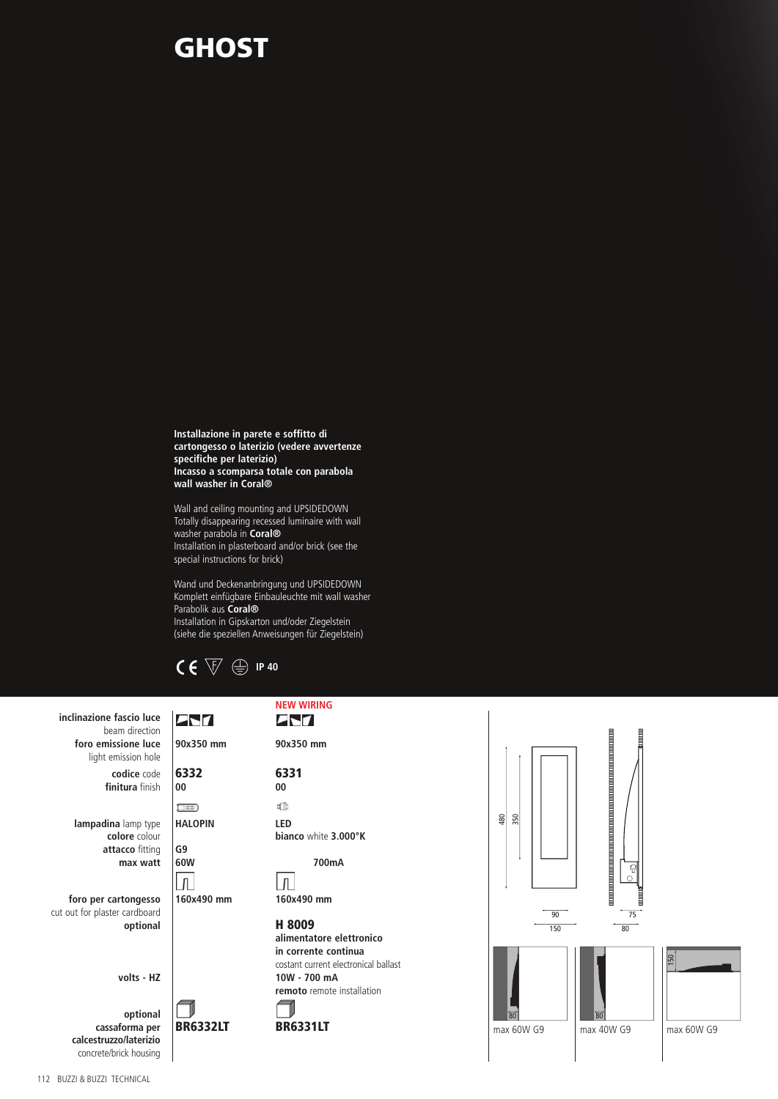## **GHOST**

**Installazione in parete e soffitto di cartongesso o laterizio (vedere avvertenze specifiche per laterizio) Incasso a scomparsa totale con parabola wall washer in Coral®**

Wall and ceiling mounting and UPSIDEDOWN Totally disappearing recessed luminaire with wall washer parabola in **Coral®** Installation in plasterboard and/or brick (see the special instructions for brick)

Wand und Deckenanbringung und UPSIDEDOWN Komplett einfügbare Einbauleuchte mit wall washer Parabolik aus **Coral®**

Installation in Gipskarton und/oder Ziegelstein (siehe die speziellen Anweisungen für Ziegelstein)



**inclinazione fascio luce**  beam direction **foro emissione luce 90x350 mm 90x350 mm** light emission hole

**finitura** finish **00 00**

**lampadina** lamp type **HALOPIN LED colore** colour **bianco** white **3.000°K**<br>**attacco** fitting **G9 attacco** fitting **G9**<br>max watt **60W max watt 60W 700mA**

**foro per cartongesso 160x490 mm 160x490 mm** cut out for plaster cardboard **optional H 8009**



**optional cassaforma per BR6332LT BR6331LT calcestruzzo/laterizio** concrete/brick housing



 $\Box$ ==)

Iл.

1

271

**NEW WIRING**

:O



**alimentatore elettronico in corrente continua** costant current electronical ballast **volts - HZ 10W - 700 mA remoto** remote installation 7



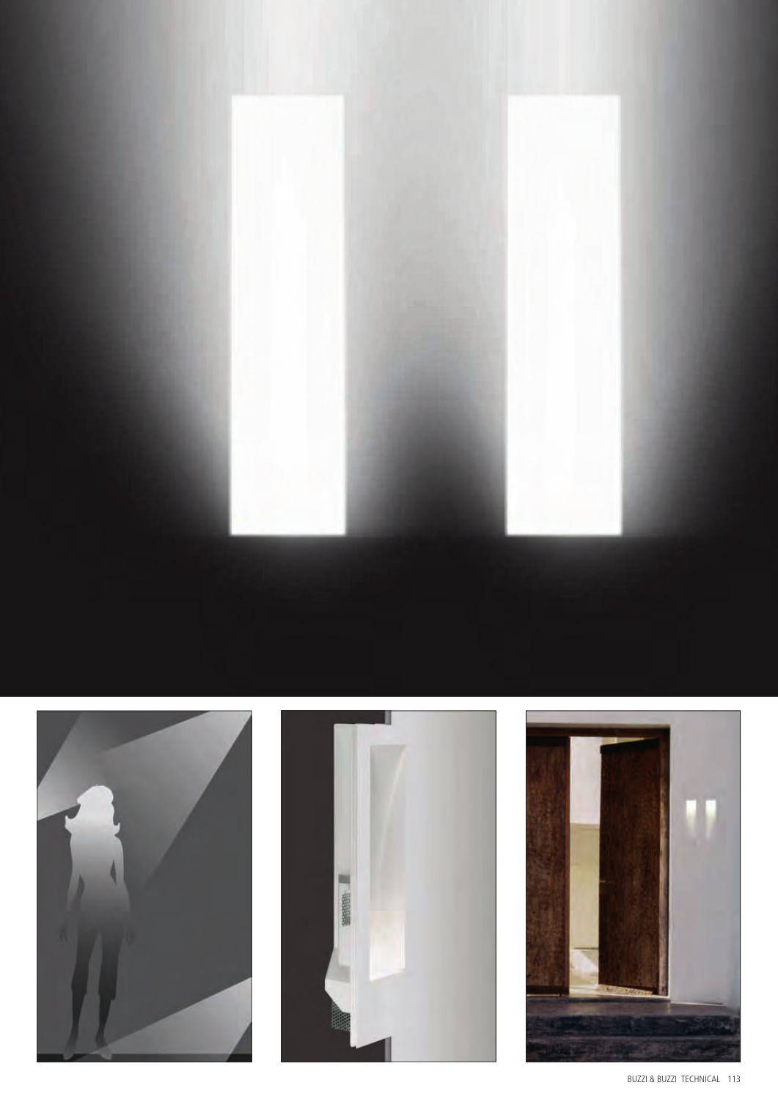







BUZZI & BUZZI TECHNICAL 113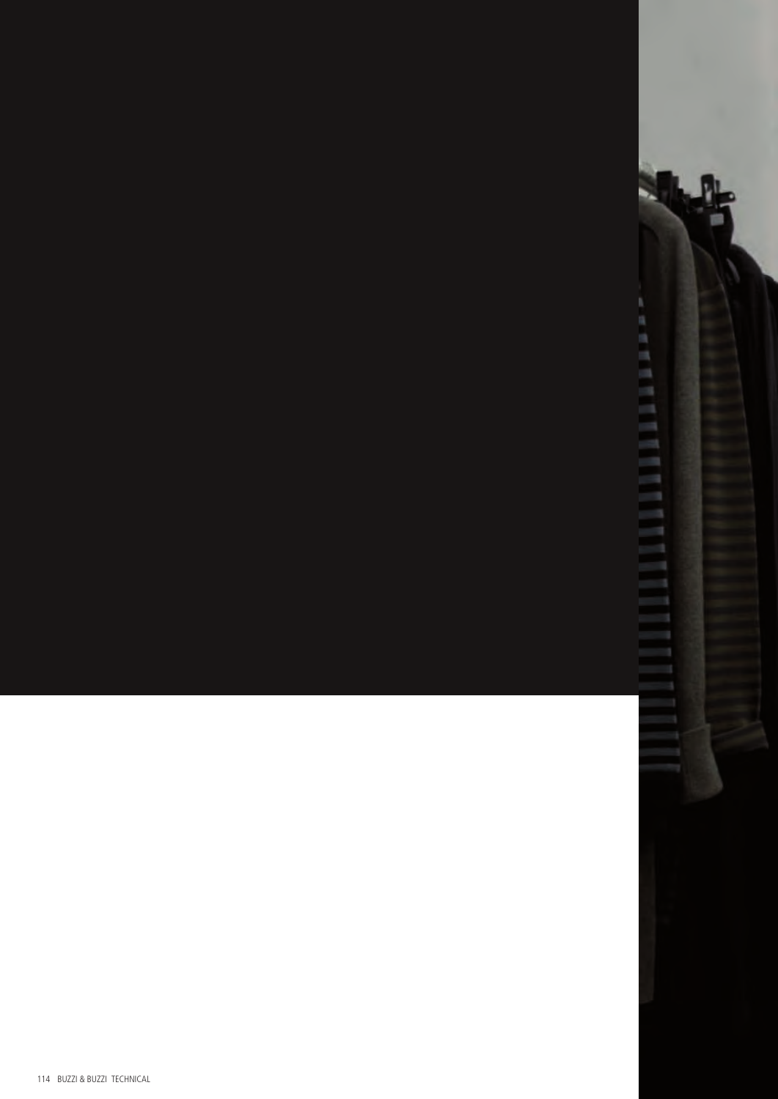